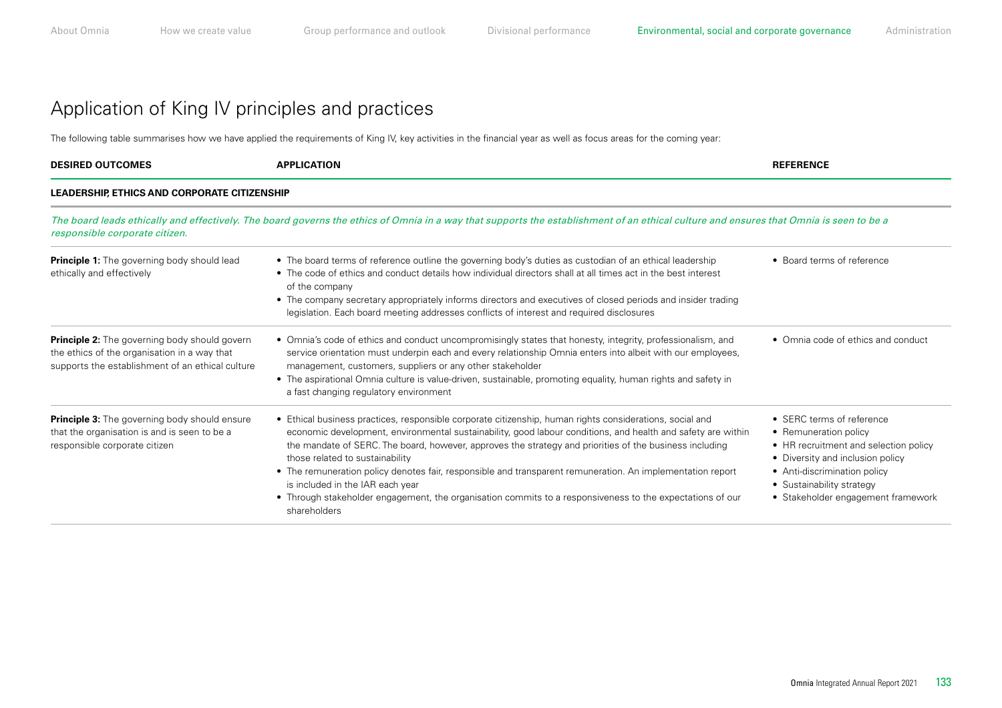### Application of King IV principles and practices

The following table summarises how we have applied the requirements of King IV, key activities in the financial year as well as focus areas for the coming year:

| <b>DESIRED OUTCOMES</b>                                                                                                                                                                                                                                                  | <b>APPLICATION</b>                                                                                                                                                                                                                                                                                                                                                                                                                                                                                                                                                                                                                                    | <b>REFERENCE</b>                                                                                                                                                                                                                   |  |  |
|--------------------------------------------------------------------------------------------------------------------------------------------------------------------------------------------------------------------------------------------------------------------------|-------------------------------------------------------------------------------------------------------------------------------------------------------------------------------------------------------------------------------------------------------------------------------------------------------------------------------------------------------------------------------------------------------------------------------------------------------------------------------------------------------------------------------------------------------------------------------------------------------------------------------------------------------|------------------------------------------------------------------------------------------------------------------------------------------------------------------------------------------------------------------------------------|--|--|
| LEADERSHIP, ETHICS AND CORPORATE CITIZENSHIP<br>The board leads ethically and effectively. The board governs the ethics of Omnia in a way that supports the establishment of an ethical culture and ensures that Omnia is seen to be a<br>responsible corporate citizen. |                                                                                                                                                                                                                                                                                                                                                                                                                                                                                                                                                                                                                                                       |                                                                                                                                                                                                                                    |  |  |
|                                                                                                                                                                                                                                                                          |                                                                                                                                                                                                                                                                                                                                                                                                                                                                                                                                                                                                                                                       |                                                                                                                                                                                                                                    |  |  |
| <b>Principle 2:</b> The governing body should govern<br>the ethics of the organisation in a way that<br>supports the establishment of an ethical culture                                                                                                                 | • Omnia's code of ethics and conduct uncompromisingly states that honesty, integrity, professionalism, and<br>service orientation must underpin each and every relationship Omnia enters into albeit with our employees,<br>management, customers, suppliers or any other stakeholder<br>• The aspirational Omnia culture is value-driven, sustainable, promoting equality, human rights and safety in<br>a fast changing regulatory environment                                                                                                                                                                                                      | • Omnia code of ethics and conduct                                                                                                                                                                                                 |  |  |
| <b>Principle 3:</b> The governing body should ensure<br>that the organisation is and is seen to be a<br>responsible corporate citizen                                                                                                                                    | • Ethical business practices, responsible corporate citizenship, human rights considerations, social and<br>economic development, environmental sustainability, good labour conditions, and health and safety are within<br>the mandate of SERC. The board, however, approves the strategy and priorities of the business including<br>those related to sustainability<br>• The remuneration policy denotes fair, responsible and transparent remuneration. An implementation report<br>is included in the IAR each year<br>• Through stakeholder engagement, the organisation commits to a responsiveness to the expectations of our<br>shareholders | • SERC terms of reference<br>• Remuneration policy<br>• HR recruitment and selection policy<br>• Diversity and inclusion policy<br>• Anti-discrimination policy<br>• Sustainability strategy<br>• Stakeholder engagement framework |  |  |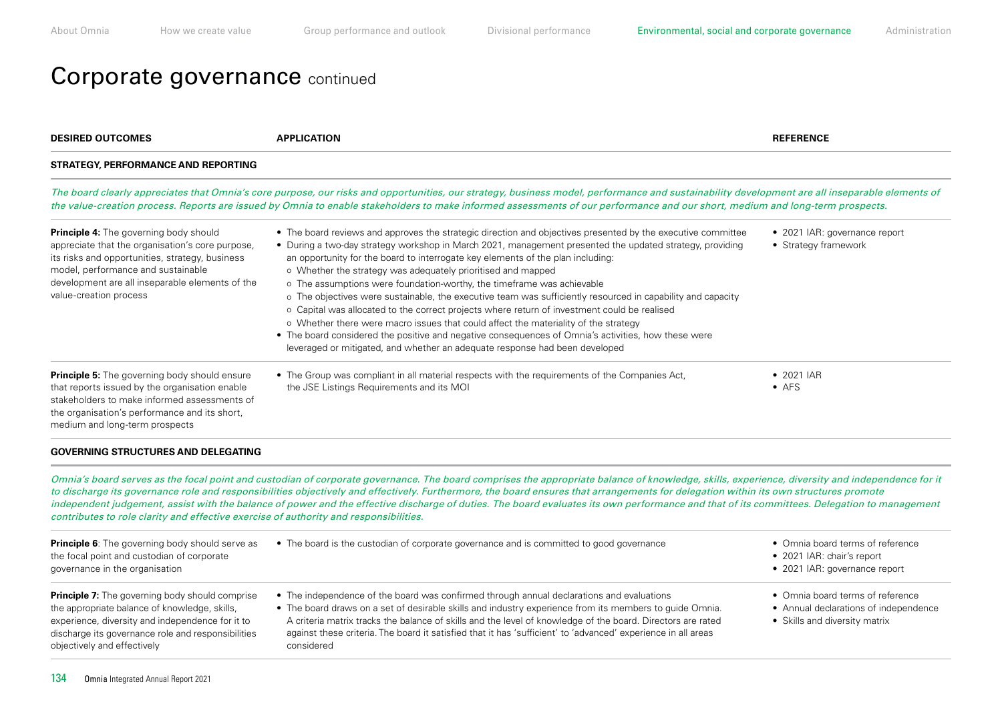## Corporate governance continued

| <b>DESIRED OUTCOMES</b>                                                                                                                                                                                                                                          | <b>APPLICATION</b>                                                                                                                                                                                                                                                                                                                                                                                                                                                                                                                                                                                                                                                                                                                                                                                                                                                                                                                                | <b>REFERENCE</b>                                                                                           |
|------------------------------------------------------------------------------------------------------------------------------------------------------------------------------------------------------------------------------------------------------------------|---------------------------------------------------------------------------------------------------------------------------------------------------------------------------------------------------------------------------------------------------------------------------------------------------------------------------------------------------------------------------------------------------------------------------------------------------------------------------------------------------------------------------------------------------------------------------------------------------------------------------------------------------------------------------------------------------------------------------------------------------------------------------------------------------------------------------------------------------------------------------------------------------------------------------------------------------|------------------------------------------------------------------------------------------------------------|
| <b>STRATEGY, PERFORMANCE AND REPORTING</b>                                                                                                                                                                                                                       |                                                                                                                                                                                                                                                                                                                                                                                                                                                                                                                                                                                                                                                                                                                                                                                                                                                                                                                                                   |                                                                                                            |
|                                                                                                                                                                                                                                                                  | The board clearly appreciates that Omnia's core purpose, our risks and opportunities, our strategy, business model, performance and sustainability development are all inseparable elements of<br>the value-creation process. Reports are issued by Omnia to enable stakeholders to make informed assessments of our performance and our short, medium and long-term prospects.                                                                                                                                                                                                                                                                                                                                                                                                                                                                                                                                                                   |                                                                                                            |
| Principle 4: The governing body should<br>appreciate that the organisation's core purpose,<br>its risks and opportunities, strategy, business<br>model, performance and sustainable<br>development are all inseparable elements of the<br>value-creation process | • The board reviews and approves the strategic direction and objectives presented by the executive committee<br>• During a two-day strategy workshop in March 2021, management presented the updated strategy, providing<br>an opportunity for the board to interrogate key elements of the plan including:<br>o Whether the strategy was adequately prioritised and mapped<br>o The assumptions were foundation-worthy, the timeframe was achievable<br>o The objectives were sustainable, the executive team was sufficiently resourced in capability and capacity<br>o Capital was allocated to the correct projects where return of investment could be realised<br>o Whether there were macro issues that could affect the materiality of the strategy<br>• The board considered the positive and negative consequences of Omnia's activities, how these were<br>leveraged or mitigated, and whether an adequate response had been developed | • 2021 IAR: governance report<br>• Strategy framework                                                      |
| <b>Principle 5:</b> The governing body should ensure<br>that reports issued by the organisation enable<br>stakeholders to make informed assessments of<br>the organisation's performance and its short,<br>medium and long-term prospects                        | • The Group was compliant in all material respects with the requirements of the Companies Act,<br>the JSE Listings Requirements and its MOI                                                                                                                                                                                                                                                                                                                                                                                                                                                                                                                                                                                                                                                                                                                                                                                                       | • 2021 IAR<br>$\bullet$ AFS                                                                                |
| <b>GOVERNING STRUCTURES AND DELEGATING</b>                                                                                                                                                                                                                       |                                                                                                                                                                                                                                                                                                                                                                                                                                                                                                                                                                                                                                                                                                                                                                                                                                                                                                                                                   |                                                                                                            |
| contributes to role clarity and effective exercise of authority and responsibilities.                                                                                                                                                                            | Omnia's board serves as the focal point and custodian of corporate governance. The board comprises the appropriate balance of knowledge, skills, experience, diversity and independence for it<br>to discharge its governance role and responsibilities objectively and effectively. Furthermore, the board ensures that arrangements for delegation within its own structures promote<br>independent judgement, assist with the balance of power and the effective discharge of duties. The board evaluates its own performance and that of its committees. Delegation to management                                                                                                                                                                                                                                                                                                                                                             |                                                                                                            |
| Principle 6: The governing body should serve as<br>the focal point and custodian of corporate<br>governance in the organisation                                                                                                                                  | • The board is the custodian of corporate governance and is committed to good governance                                                                                                                                                                                                                                                                                                                                                                                                                                                                                                                                                                                                                                                                                                                                                                                                                                                          | • Omnia board terms of reference<br>• 2021 IAR: chair's report<br>• 2021 IAR: governance report            |
| <b>Principle 7:</b> The governing body should comprise<br>the appropriate balance of knowledge, skills,<br>experience, diversity and independence for it to<br>discharge its governance role and responsibilities<br>objectively and effectively                 | • The independence of the board was confirmed through annual declarations and evaluations<br>• The board draws on a set of desirable skills and industry experience from its members to guide Omnia.<br>A criteria matrix tracks the balance of skills and the level of knowledge of the board. Directors are rated<br>against these criteria. The board it satisfied that it has 'sufficient' to 'advanced' experience in all areas<br>considered                                                                                                                                                                                                                                                                                                                                                                                                                                                                                                | • Omnia board terms of reference<br>• Annual declarations of independence<br>• Skills and diversity matrix |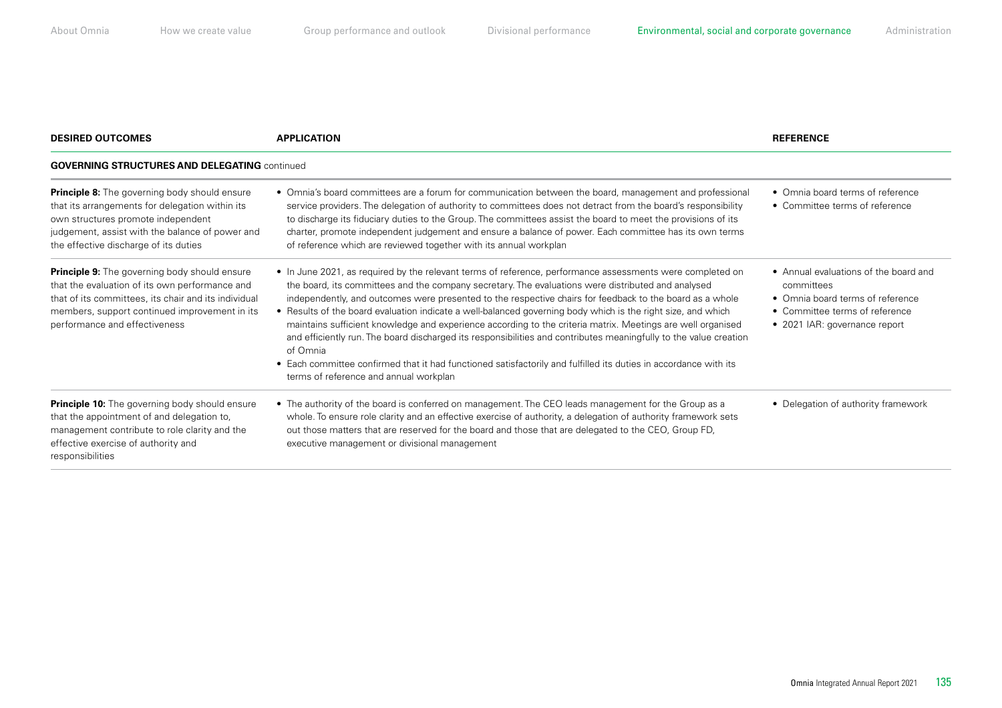| <b>DESIRED OUTCOMES</b>                                                                                                                                                                                                                          | <b>APPLICATION</b>                                                                                                                                                                                                                                                                                                                                                                                                                                                                                                                                                                                                                                                                                                                                                                                                                                        | <b>REFERENCE</b>                                                                                                                                           |  |
|--------------------------------------------------------------------------------------------------------------------------------------------------------------------------------------------------------------------------------------------------|-----------------------------------------------------------------------------------------------------------------------------------------------------------------------------------------------------------------------------------------------------------------------------------------------------------------------------------------------------------------------------------------------------------------------------------------------------------------------------------------------------------------------------------------------------------------------------------------------------------------------------------------------------------------------------------------------------------------------------------------------------------------------------------------------------------------------------------------------------------|------------------------------------------------------------------------------------------------------------------------------------------------------------|--|
| <b>GOVERNING STRUCTURES AND DELEGATING continued</b>                                                                                                                                                                                             |                                                                                                                                                                                                                                                                                                                                                                                                                                                                                                                                                                                                                                                                                                                                                                                                                                                           |                                                                                                                                                            |  |
| <b>Principle 8:</b> The governing body should ensure<br>that its arrangements for delegation within its<br>own structures promote independent<br>judgement, assist with the balance of power and<br>the effective discharge of its duties        | • Omnia's board committees are a forum for communication between the board, management and professional<br>service providers. The delegation of authority to committees does not detract from the board's responsibility<br>to discharge its fiduciary duties to the Group. The committees assist the board to meet the provisions of its<br>charter, promote independent judgement and ensure a balance of power. Each committee has its own terms<br>of reference which are reviewed together with its annual workplan                                                                                                                                                                                                                                                                                                                                  | • Omnia board terms of reference<br>• Committee terms of reference                                                                                         |  |
| <b>Principle 9:</b> The governing body should ensure<br>that the evaluation of its own performance and<br>that of its committees, its chair and its individual<br>members, support continued improvement in its<br>performance and effectiveness | • In June 2021, as required by the relevant terms of reference, performance assessments were completed on<br>the board, its committees and the company secretary. The evaluations were distributed and analysed<br>independently, and outcomes were presented to the respective chairs for feedback to the board as a whole<br>• Results of the board evaluation indicate a well-balanced governing body which is the right size, and which<br>maintains sufficient knowledge and experience according to the criteria matrix. Meetings are well organised<br>and efficiently run. The board discharged its responsibilities and contributes meaningfully to the value creation<br>of Omnia<br>• Each committee confirmed that it had functioned satisfactorily and fulfilled its duties in accordance with its<br>terms of reference and annual workplan | • Annual evaluations of the board and<br>committees<br>• Omnia board terms of reference<br>• Committee terms of reference<br>• 2021 IAR: governance report |  |
| <b>Principle 10:</b> The governing body should ensure<br>that the appointment of and delegation to,<br>management contribute to role clarity and the<br>effective exercise of authority and<br>responsibilities                                  | • The authority of the board is conferred on management. The CEO leads management for the Group as a<br>whole. To ensure role clarity and an effective exercise of authority, a delegation of authority framework sets<br>out those matters that are reserved for the board and those that are delegated to the CEO, Group FD,<br>executive management or divisional management                                                                                                                                                                                                                                                                                                                                                                                                                                                                           | • Delegation of authority framework                                                                                                                        |  |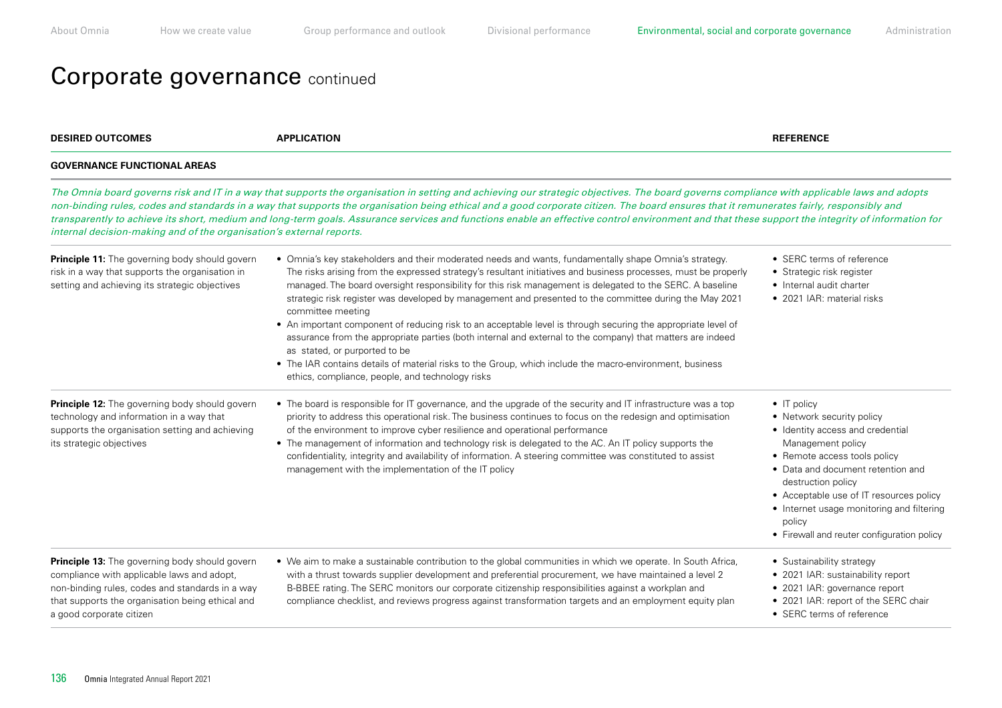# Corporate governance continued

| <b>DESIRED OUTCOMES</b>                                                                                                                                                                                                         | <b>APPLICATION</b>                                                                                                                                                                                                                                                                                                                                                                                                                                                                                                                                                                                                                                                                                                                                                                                                                                                                                  | <b>REFERENCE</b>                                                                                                                                                                                                                                                                                                                                     |
|---------------------------------------------------------------------------------------------------------------------------------------------------------------------------------------------------------------------------------|-----------------------------------------------------------------------------------------------------------------------------------------------------------------------------------------------------------------------------------------------------------------------------------------------------------------------------------------------------------------------------------------------------------------------------------------------------------------------------------------------------------------------------------------------------------------------------------------------------------------------------------------------------------------------------------------------------------------------------------------------------------------------------------------------------------------------------------------------------------------------------------------------------|------------------------------------------------------------------------------------------------------------------------------------------------------------------------------------------------------------------------------------------------------------------------------------------------------------------------------------------------------|
| <b>GOVERNANCE FUNCTIONAL AREAS</b>                                                                                                                                                                                              |                                                                                                                                                                                                                                                                                                                                                                                                                                                                                                                                                                                                                                                                                                                                                                                                                                                                                                     |                                                                                                                                                                                                                                                                                                                                                      |
| internal decision-making and of the organisation's external reports.                                                                                                                                                            | The Omnia board governs risk and IT in a way that supports the organisation in setting and achieving our strategic objectives. The board governs compliance with applicable laws and adopts<br>non-binding rules, codes and standards in a way that supports the organisation being ethical and a good corporate citizen. The board ensures that it remunerates fairly, responsibly and<br>transparently to achieve its short, medium and long-term goals. Assurance services and functions enable an effective control environment and that these support the integrity of information for                                                                                                                                                                                                                                                                                                         |                                                                                                                                                                                                                                                                                                                                                      |
| Principle 11: The governing body should govern<br>risk in a way that supports the organisation in<br>setting and achieving its strategic objectives                                                                             | • Omnia's key stakeholders and their moderated needs and wants, fundamentally shape Omnia's strategy.<br>The risks arising from the expressed strategy's resultant initiatives and business processes, must be properly<br>managed. The board oversight responsibility for this risk management is delegated to the SERC. A baseline<br>strategic risk register was developed by management and presented to the committee during the May 2021<br>committee meeting<br>• An important component of reducing risk to an acceptable level is through securing the appropriate level of<br>assurance from the appropriate parties (both internal and external to the company) that matters are indeed<br>as stated, or purported to be<br>• The IAR contains details of material risks to the Group, which include the macro-environment, business<br>ethics, compliance, people, and technology risks | • SERC terms of reference<br>• Strategic risk register<br>• Internal audit charter<br>• 2021 IAR: material risks                                                                                                                                                                                                                                     |
| Principle 12: The governing body should govern<br>technology and information in a way that<br>supports the organisation setting and achieving<br>its strategic objectives                                                       | • The board is responsible for IT governance, and the upgrade of the security and IT infrastructure was a top<br>priority to address this operational risk. The business continues to focus on the redesign and optimisation<br>of the environment to improve cyber resilience and operational performance<br>• The management of information and technology risk is delegated to the AC. An IT policy supports the<br>confidentiality, integrity and availability of information. A steering committee was constituted to assist<br>management with the implementation of the IT policy                                                                                                                                                                                                                                                                                                            | $\bullet$ IT policy<br>• Network security policy<br>• Identity access and credential<br>Management policy<br>• Remote access tools policy<br>• Data and document retention and<br>destruction policy<br>• Acceptable use of IT resources policy<br>• Internet usage monitoring and filtering<br>policy<br>• Firewall and reuter configuration policy |
| Principle 13: The governing body should govern<br>compliance with applicable laws and adopt,<br>non-binding rules, codes and standards in a way<br>that supports the organisation being ethical and<br>a good corporate citizen | • We aim to make a sustainable contribution to the global communities in which we operate. In South Africa,<br>with a thrust towards supplier development and preferential procurement, we have maintained a level 2<br>B-BBEE rating. The SERC monitors our corporate citizenship responsibilities against a workplan and<br>compliance checklist, and reviews progress against transformation targets and an employment equity plan                                                                                                                                                                                                                                                                                                                                                                                                                                                               | • Sustainability strategy<br>• 2021 IAR: sustainability report<br>• 2021 IAR: governance report<br>• 2021 IAR: report of the SERC chair<br>• SERC terms of reference                                                                                                                                                                                 |